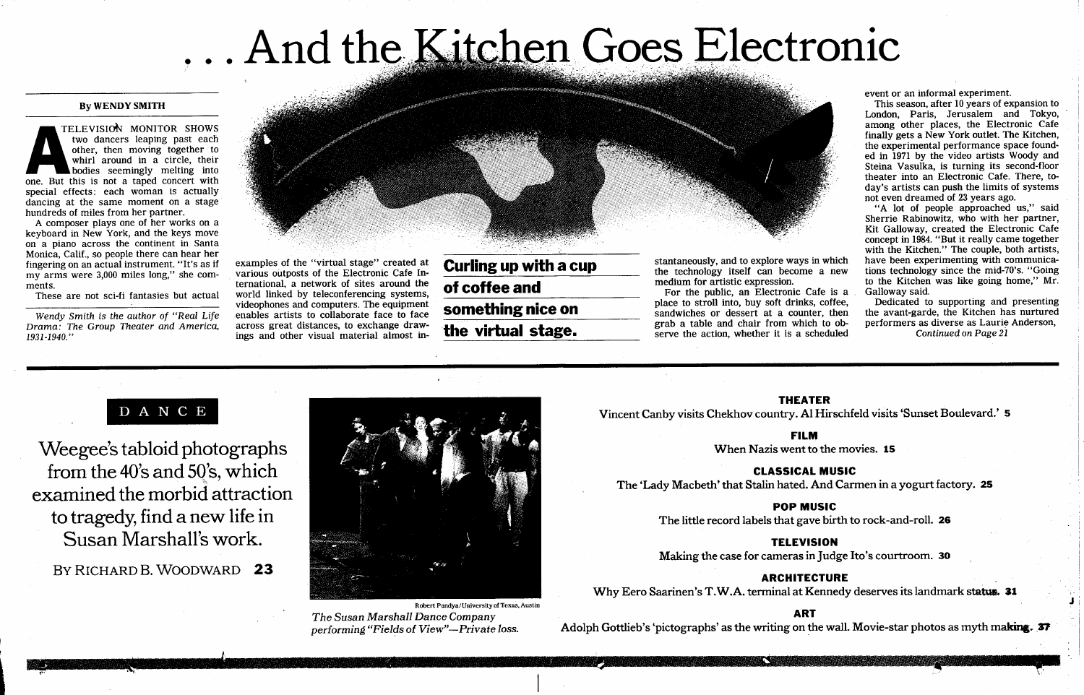# ... And the Kitchen Goes Electronic

### By WENDY SMITH

THE SPECIAL THREE SPECIAL SPECIAL SPECIAL SPECIAL SPECIAL SPECIAL SPECIAL SPECIAL SPECIAL SPECIAL SPECIAL SPECIAL SPECIAL SPECIAL SPECIAL SPECIAL SPECIAL SPECIAL SPECIAL SPECIAL SPECIAL SPECIAL SPECIAL SPECIAL SPECIAL SPEC TELEVISION MONITOR SHOWS two dancers leaping past each other, then moving together to whirl around in a circle, their bodies seemingly melting into one. But this is not a taped concert with special effects: each woman is actually dancing at the same moment on a stage hundreds of miles from her partner.

A composer plays one of her works on <sup>a</sup> keyboard in New York, and the keys move on a piano across the continent in Santa Monica, Calif., so people there can hear her fingering on an actual instrument. "It's as if my arms were 3,000 miles long," she comments.

These are not sci-fi fantasies but actual

Wendy Smith is the author of "Real Life Drama: The Group Theater and America, 1931-1940."



examples of the "virtual stage" created at various outposts of the Electronic Cafe International, a network of sites around the world linked by teleconferencing systems, videophones and computers. The equipment enables artists to collaborate face to face across great distances, to exchange drawings and other visual material almost in-

Curling up with a cup of coffee and something nice on the virtual stage.

stantaneously, and to explore ways in which the technology itself can become a new medium for artistic expression.

For the public, an Electronic Cafe is a place to stroll into, buy soft drinks, coffee, sandwiches or dessert at a counter, then grab a table and chair from which to observe the action, whether it is a scheduled

event or an informal experiment.

This season, after 10 years of expansion to London, Paris, Jerusalem and Tokyo, among other places, the Electronic Cafe finally gets a New York outlet. The Kitchen, the experimental performance space founded in 1971 by the video artists Woody and Steina Vasulka, is turning its second-floor theater into an Electronic Cafe. There, today's artists can push the limits of systems not even dreamed of <sup>23</sup> years ago.

"A lot of people approached us," said Sherrie Rabinowitz, who with her partner, Kit Galloway, created the Electronic Cafe concept in 1984. "But it really came together with the Kitchen." The couple, both artists, have been experimenting with communications technology since the mid-70's. "Going to the Kitchen was like going home," Mr. Galloway said.

Dedicated to supporting and presenting the avant-garde, the Kitchen has nurtured performers as diverse as Laurie Anderson, Continued on Page 21

\_

# D A N C E

Weegee's tabloid photographs from the <sup>40</sup>'s and <sup>50</sup>'s, which examined the morbid attraction to tragedy, find a new life in Susan Marshall's work.

## BY RICHARD B. WOODWARD 23



The Susan Marshall Dance Company performing "Fields of View"-Private loss.

#### THEATER

Vincent Canby visits Chekhov country. Al Hirschfeld visits `Sunset Boulevard.' S

FILM

When Nazis went to the movies. 15

CLASSICAL MUSIC

The 'Lady Macbeth' that Stalin hated. And Carmen in a yogurt factory. 25

### POP MUSIC

The little record labels that gave birth to rock-and-roll. 26

## **TELEVISION**

Making the case for cameras in Judge Ito's courtroom. 30

ARCHITECTURE

Why Eero Saarinen's T.W.A. terminal at Kennedy deserves its landmark status. 31

#### ART

Adolph Gottlieb's 'pictographs' as the writing on the wall. Movie-star photos as myth making. 37

maw <mark>wanana ma</mark>wa 2012, a

1-W 10M FT T",~i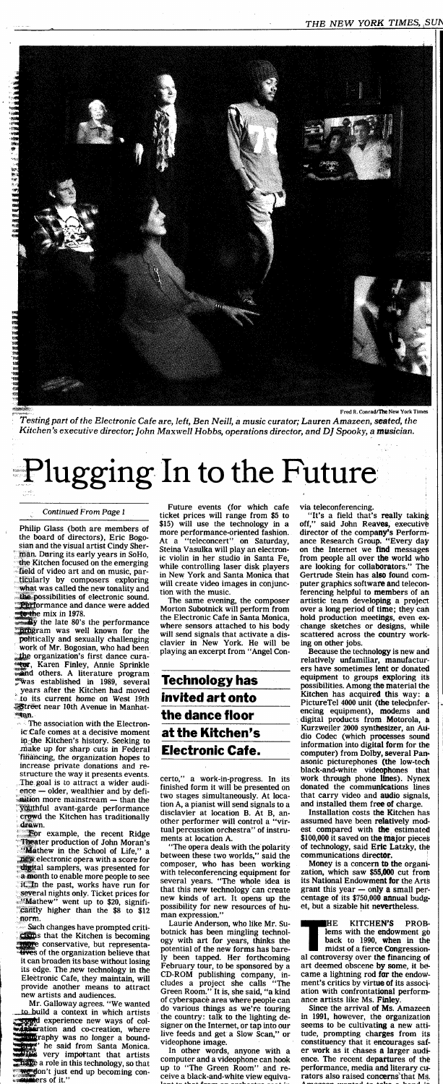

' Testing part of the Electronic Cafe are, left, Ben Neill, a music curator; Lauren Amazeen, seated, the Kitchen's executive director; John Maxwell Hobbs, operations director, and DJ Spooky, a musician.

# Plugging In to the Future

Philip Glass (both are members of the board of directors), Eric Bogosian and the visual artist Cindy Sherman. Daring its early years in SoHo, the Kitchen focused on the emerging field of video art and on music, particularly by composers exploring what was called the new tonality and the possibilities of electronic sound. **Performance and dance were added** 

e mix in 1978.<br>A the late 80's the performance **ram** was well known for the politically and sexually challenging work of Mr. Bogosian, who had been the organization's first dance cura-Karen Finley, Annie Sprinkle and others. A literature program ,Was established in 1989, several years after the Kitchen had moved to its current home on West 19th **5**treet near 10th Avenue in Manhat-<br>\*\*an.

The association with the Electronic Cafe comes at a decisive moment in the Kitchen's history. Seeking to make up for sharp cuts in Federal 'firiahcing, the organization hopes to increase private donations and restructure the way it presents events. The goal is to attract a wider audi $e$ nce  $-$  older, wealthier and by defiaition more mainstream - than the .youthful avant-garde performance

**For example, the recent Ridge** Theater production of John Moran's "Mathew in the School of Life," a new electronic opera with a score for digital samplers, was presented for a month to enable more people to see it. In the past, works have run for several nights only. Ticket prices for "Mathew" went up to \$20, signifi cantly higher than the \$8 to \$12 norm.

Such changes have prompted criti-<br>Claims that the Kitchen is becoming <sup>s</sup> that the Kitchen is becoming conservative, but representawes of the organization believe that it can broaden its base without losing its edge. The new technology in the Electronic Cafe, they maintain, will provide another means to attract new artists and audiences.<br>Mr. Galloway agrees. "We wanted

certo," a work-in-progress. In its finished form it will be presented on two stages simultaneously. At location A, a pianist will send signals to a disclavier at location B. At B, another performer will control a "virtual percussion orchestra" of instruments at location A. "The opera deals with the polarity between these two worlds," said the composer, who has been working with teleconferencing equipment for several years. "The whole idea is that this new technology can create new kinds of art. It opens up the possibility for new resources of human expression." Laurie Anderson, who like Mr. Subotnick has been mingling technology with art for years, thinks the potential of the new forms has bare-<br>ly been tapped. Her forthcoming ly been tapped. Her forthcoming<br>February tour, to be sponsored by a February tour, to be sponsored by a CD-ROM publishing company, includes a project she calls "The Green Room." It is, she said, "a kind of cyberspace area where people can do various things as we're touring the country: talk to the lighting designer on the Internet, or tap into our live feeds and get a Slow Scan," or videophone image.

Mr. Galloway agrees . "We wanted to build a context in which artists experience new ways of colation and co-creation, where raphy was no longer a boundhe said from Santa Monica. very impottant that artists **Thave** a role in this technology, so that  $\mathbf{w}$  don't just end up becoming con-.: iiaers of it ."

#### Continued From Page <sup>1</sup>

Future events (for which cafe ticket prices will range from \$5 to \$15) will use the technology in a more performance-oriented fashion. At a "teleconcert" on Saturday, Steina Vasulka will play an electronic violin in her studio in Santa Fe, while controlling laser disk players in New York and Santa Monica that will create video images in conjunction with the music.

The same evening, the composer Morton Subotnick will perform from the Electronic Cafe in Santa Monica, where sensors attached to his body will send signals that activate a disclavier in New York. He will be playing an excerpt from "Angel Con-

> Money is a concern to the organization, which saw \$55,000 cut from its National Endowment for the Arts grant this year  $-$  only a small percentage of its \$750,000 annual budget, but a sizable hit nevertheless .

> HE KITCHEN'S PROBlems with the endowment go back to 1990, when in the midst of a fierce Congression al controversy over the financing of art deemed obscene by some, it became a lightning rod for the endowment's critics by virtue of its association with confrontational performance artists like Ms. Finley.

# Technology has invited art onto the dance floor at the Kitchen's Electronic Cafe.

Since the arrival of Ms. Amazeen in 1991, however, the organization seems to be cultivating a new attitude, prompting charges from its constituency that it encourages safer work as it chases a larger audience. The recent departures of the performance, media and literary curators also raised con**cern**s that Ms.<br>Amazoon wanted to take a hand in

In other words, anyone with a computer and a videophone can hook up to "The Green Room" and receive a black-and-white view equivavia teleconferencing.

"It's a field that's really taking off," said John Reaves, executive director of the company's Performance Research Group. "Every day on the Internet we find messages from people all over the world who<br>are looking for collaborators." The are looking for collaborators." Gertrude Stein has also found computer graphics software and teleconferencing helpful to members of an artistic team developing a project over a long period of time; they can hold production meetings, even exchange sketches or designs, while scattered across the country working on other jobs.

Because the technology is new and relatively unfamiliar, manufacturers have sometimes lent or donated equipment to groups exploring its possibilities . Among the material the Kitchen has acquired this way: a Picture Tel 4000 unit (the teleconfer-<br>encing equipment), modems and digital products from Motorola, a Kurzweiler 2000 synthesizer, an Audio Codec (which processes sound information into digital form for the computer) from Dolby, several Panasonic picturephones (the low-tech black-and-white videophones that work through phone lines). Nynex donated the communications lines that carry video and audio signals, and installed them free of charge.

Installation costs the Kitchen has

crowd the Kitchen has traditionally<br>drawn.

assumed have been relatively modest compared with the estimated \$100,000 it saved on the major pieces of technology, said Eric Latzky, the communications director.